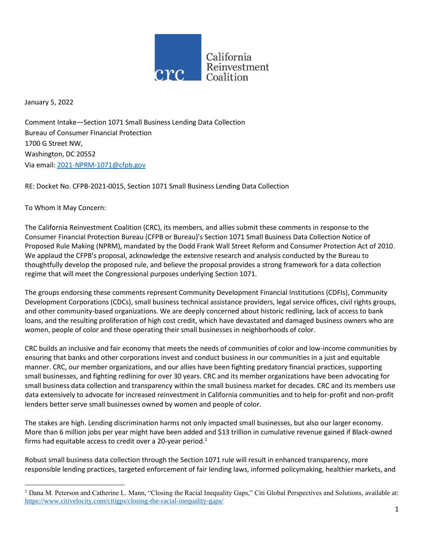

January 5, 2022

Comment Intake—Section 1071 Small Business Lending Data Collection Bureau of Consumer Financial Protection 1700 G Street NW, Washington, DC 20552 Via email[: 2021-NPRM-1071@cfpb.gov](mailto:2021-NPRM-1071@cfpb.gov)

RE: Docket No. CFPB-2021-0015, Section 1071 Small Business Lending Data Collection

To Whom it May Concern:

The California Reinvestment Coalition (CRC), its members, and allies submit these comments in response to the Consumer Financial Protection Bureau (CFPB or Bureau)'s Section 1071 Small Business Data Collection Notice of Proposed Rule Making (NPRM), mandated by the Dodd Frank Wall Street Reform and Consumer Protection Act of 2010. We applaud the CFPB's proposal, acknowledge the extensive research and analysis conducted by the Bureau to thoughtfully develop the proposed rule, and believe the proposal provides a strong framework for a data collection regime that will meet the Congressional purposes underlying Section 1071.

The groups endorsing these comments represent Community Development Financial Institutions (CDFIs), Community Development Corporations (CDCs), small business technical assistance providers, legal service offices, civil rights groups, and other community-based organizations. We are deeply concerned about historic redlining, lack of access to bank loans, and the resulting proliferation of high cost credit, which have devastated and damaged business owners who are women, people of color and those operating their small businesses in neighborhoods of color.

CRC builds an inclusive and fair economy that meets the needs of communities of color and low-income communities by ensuring that banks and other corporations invest and conduct business in our communities in a just and equitable manner. CRC, our member organizations, and our allies have been fighting predatory financial practices, supporting small businesses, and fighting redlining for over 30 years. CRC and its member organizations have been advocating for small business data collection and transparency within the small business market for decades. CRC and its members use data extensively to advocate for increased reinvestment in California communities and to help for-profit and non-profit lenders better serve small businesses owned by women and people of color.

The stakes are high. Lending discrimination harms not only impacted small businesses, but also our larger economy. More than 6 million jobs per year might have been added and \$13 trillion in cumulative revenue gained if Black-owned firms had equitable access to credit over a 20-year period. $1$ 

Robust small business data collection through the Section 1071 rule will result in enhanced transparency, more responsible lending practices, targeted enforcement of fair lending laws, informed policymaking, healthier markets, and

<sup>1</sup> Dana M. Peterson and Catherine L. Mann, "Closing the Racial Inequality Gaps," Citi Global Perspectives and Solutions, available at: <https://www.citivelocity.com/citigps/closing-the-racial-inequality-gaps/>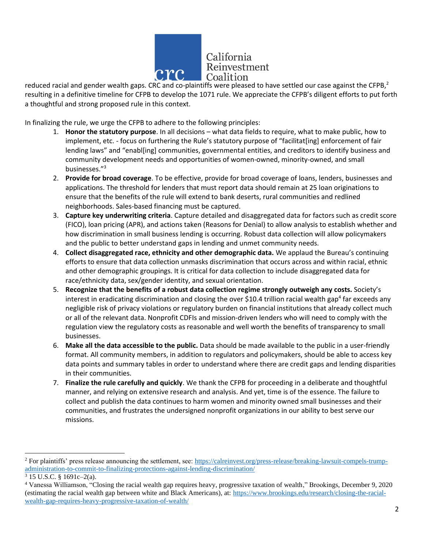

reduced racial and gender wealth gaps. CRC and co-plaintiffs were pleased to have settled our case against the CFPB,<sup>2</sup> resulting in a definitive timeline for CFPB to develop the 1071 rule. We appreciate the CFPB's diligent efforts to put forth a thoughtful and strong proposed rule in this context.

In finalizing the rule, we urge the CFPB to adhere to the following principles:

- 1. **Honor the statutory purpose**. In all decisions what data fields to require, what to make public, how to implement, etc. - focus on furthering the Rule's statutory purpose of "facilitat[ing] enforcement of fair lending laws" and "enabl[ing] communities, governmental entities, and creditors to identify business and community development needs and opportunities of women-owned, minority-owned, and small businesses." 3
- 2. **Provide for broad coverage**. To be effective, provide for broad coverage of loans, lenders, businesses and applications. The threshold for lenders that must report data should remain at 25 loan originations to ensure that the benefits of the rule will extend to bank deserts, rural communities and redlined neighborhoods. Sales-based financing must be captured.
- 3. **Capture key underwriting criteria**. Capture detailed and disaggregated data for factors such as credit score (FICO), loan pricing (APR), and actions taken (Reasons for Denial) to allow analysis to establish whether and how discrimination in small business lending is occurring. Robust data collection will allow policymakers and the public to better understand gaps in lending and unmet community needs.
- 4. **Collect disaggregated race, ethnicity and other demographic data.** We applaud the Bureau's continuing efforts to ensure that data collection unmasks discrimination that occurs across and within racial, ethnic and other demographic groupings. It is critical for data collection to include disaggregated data for race/ethnicity data, sex/gender identity, and sexual orientation.
- 5. **Recognize that the benefits of a robust data collection regime strongly outweigh any costs.** Society's interest in eradicating discrimination and closing the over \$10.4 trillion racial wealth gap<sup>4</sup> far exceeds any negligible risk of privacy violations or regulatory burden on financial institutions that already collect much or all of the relevant data. Nonprofit CDFIs and mission-driven lenders who will need to comply with the regulation view the regulatory costs as reasonable and well worth the benefits of transparency to small businesses.
- 6. **Make all the data accessible to the public.** Data should be made available to the public in a user-friendly format. All community members, in addition to regulators and policymakers, should be able to access key data points and summary tables in order to understand where there are credit gaps and lending disparities in their communities.
- 7. **Finalize the rule carefully and quickly**. We thank the CFPB for proceeding in a deliberate and thoughtful manner, and relying on extensive research and analysis. And yet, time is of the essence. The failure to collect and publish the data continues to harm women and minority owned small businesses and their communities, and frustrates the undersigned nonprofit organizations in our ability to best serve our missions.

<sup>2</sup> For plaintiffs' press release announcing the settlement, see: [https://calreinvest.org/press-release/breaking-lawsuit-compels-trump](https://calreinvest.org/press-release/breaking-lawsuit-compels-trump-administration-to-commit-to-finalizing-protections-against-lending-discrimination/)[administration-to-commit-to-finalizing-protections-against-lending-discrimination/](https://calreinvest.org/press-release/breaking-lawsuit-compels-trump-administration-to-commit-to-finalizing-protections-against-lending-discrimination/)

 $3$  15 U.S.C. § 1691c–2(a).

<sup>4</sup> Vanessa Williamson, "Closing the racial wealth gap requires heavy, progressive taxation of wealth," Brookings, December 9, 2020 (estimating the racial wealth gap between white and Black Americans), at: [https://www.brookings.edu/research/closing-the-racial](https://www.brookings.edu/research/closing-the-racial-wealth-gap-requires-heavy-progressive-taxation-of-wealth/)[wealth-gap-requires-heavy-progressive-taxation-of-wealth/](https://www.brookings.edu/research/closing-the-racial-wealth-gap-requires-heavy-progressive-taxation-of-wealth/)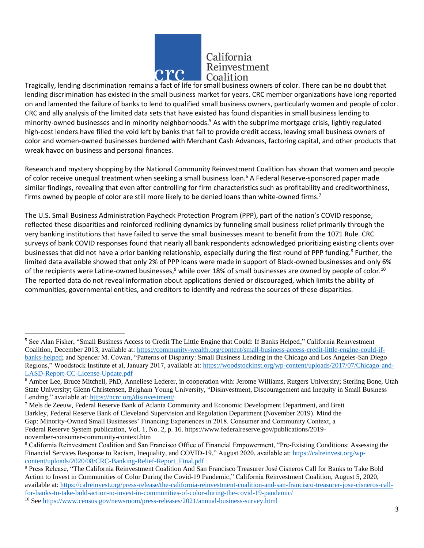

Tragically, lending discrimination remains a fact of life for small business owners of color. There can be no doubt that lending discrimination has existed in the small business market for years. CRC member organizations have long reported on and lamented the failure of banks to lend to qualified small business owners, particularly women and people of color. CRC and ally analysis of the limited data sets that have existed has found disparities in small business lending to minority-owned businesses and in minority neighborhoods.<sup>5</sup> As with the subprime mortgage crisis, lightly regulated high-cost lenders have filled the void left by banks that fail to provide credit access, leaving small business owners of color and women-owned businesses burdened with Merchant Cash Advances, factoring capital, and other products that wreak havoc on business and personal finances.

Research and mystery shopping by the National Community Reinvestment Coalition has shown that women and people of color receive unequal treatment when seeking a small business loan.<sup>6</sup> A Federal Reserve-sponsored paper made similar findings, revealing that even after controlling for firm characteristics such as profitability and creditworthiness, firms owned by people of color are still more likely to be denied loans than white-owned firms.<sup>7</sup>

The U.S. Small Business Administration Paycheck Protection Program (PPP), part of the nation's COVID response, reflected these disparities and reinforced redlining dynamics by funneling small business relief primarily through the very banking institutions that have failed to serve the small businesses meant to benefit from the 1071 Rule. CRC surveys of bank COVID responses found that nearly all bank respondents acknowledged prioritizing existing clients over businesses that did not have a prior banking relationship, especially during the first round of PPP funding.<sup>8</sup> Further, the limited data available showed that only 2% of PPP loans were made in support of Black-owned businesses and only 6% of the recipients were Latine-owned businesses,<sup>9</sup> while over 18% of small businesses are owned by people of color.<sup>10</sup> The reported data do not reveal information about applications denied or discouraged, which limits the ability of communities, governmental entities, and creditors to identify and redress the sources of these disparities.

<sup>&</sup>lt;sup>5</sup> See Alan Fisher, "Small Business Access to Credit The Little Engine that Could: If Banks Helped," California Reinvestment Coalition, December 2013, available at: [https://community-wealth.org/content/small-business-access-credit-little-engine-could-if](https://community-wealth.org/content/small-business-access-credit-little-engine-could-if-banks-helped)[banks-helped;](https://community-wealth.org/content/small-business-access-credit-little-engine-could-if-banks-helped) and Spencer M. Cowan, "Patterns of Disparity: Small Business Lending in the Chicago and Los Angeles-San Diego Regions," Woodstock Institute et al, January 2017, available at: [https://woodstockinst.org/wp-content/uploads/2017/07/Chicago-and-](https://woodstockinst.org/wp-content/uploads/2017/07/Chicago-and-LASD-Report-CC-License-Update.pdf)[LASD-Report-CC-License-Update.pdf](https://woodstockinst.org/wp-content/uploads/2017/07/Chicago-and-LASD-Report-CC-License-Update.pdf)

<sup>6</sup> Amber Lee, Bruce Mitchell, PhD, Anneliese Lederer, in cooperation with: Jerome Williams, Rutgers University; Sterling Bone, Utah State University; Glenn Christensen, Brigham Young University, "Disinvestment, Discouragement and Inequity in Small Business Lending," available at:<https://ncrc.org/disinvestment/>

<sup>7</sup> Mels de Zeeuw, Federal Reserve Bank of Atlanta Community and Economic Development Department, and Brett Barkley, Federal Reserve Bank of Cleveland Supervision and Regulation Department (November 2019). Mind the Gap: Minority-Owned Small Businesses' Financing Experiences in 2018. Consumer and Community Context, a Federal Reserve System publication, Vol. 1, No. 2, p. 16. https://www.federalreserve.gov/publications/2019 november-consumer-community-context.htm

<sup>8</sup> California Reinvestment Coalition and San Francisco Office of Financial Empowerment, "Pre-Existing Conditions: Assessing the Financial Services Response to Racism, Inequality, and COVID-19," August 2020, available at[: https://calreinvest.org/wp](https://calreinvest.org/wp-content/uploads/2020/08/CRC-Banking-Relief-Report_Final.pdf)[content/uploads/2020/08/CRC-Banking-Relief-Report\\_Final.pdf](https://calreinvest.org/wp-content/uploads/2020/08/CRC-Banking-Relief-Report_Final.pdf)

<sup>9</sup> Press Release, "The California Reinvestment Coalition And San Francisco Treasurer José Cisneros Call for Banks to Take Bold Action to Invest in Communities of Color During the Covid-19 Pandemic," California Reinvestment Coalition, August 5, 2020, available at: [https://calreinvest.org/press-release/the-california-reinvestment-coalition-and-san-francisco-treasurer-jose-cisneros-call](https://calreinvest.org/press-release/the-california-reinvestment-coalition-and-san-francisco-treasurer-jose-cisneros-call-for-banks-to-take-bold-action-to-invest-in-communities-of-color-during-the-covid-19-pandemic/)[for-banks-to-take-bold-action-to-invest-in-communities-of-color-during-the-covid-19-pandemic/](https://calreinvest.org/press-release/the-california-reinvestment-coalition-and-san-francisco-treasurer-jose-cisneros-call-for-banks-to-take-bold-action-to-invest-in-communities-of-color-during-the-covid-19-pandemic/) <sup>10</sup> See<https://www.census.gov/newsroom/press-releases/2021/annual-business-survey.html>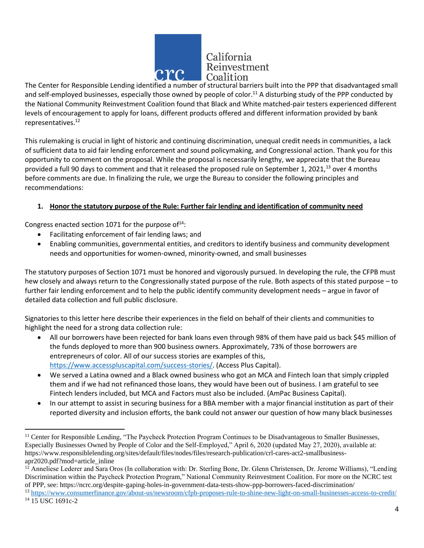

The Center for Responsible Lending identified a number of structural barriers built into the PPP that disadvantaged small and self-employed businesses, especially those owned by people of color.<sup>11</sup> A disturbing study of the PPP conducted by the National Community Reinvestment Coalition found that Black and White matched-pair testers experienced different levels of encouragement to apply for loans, different products offered and different information provided by bank representatives.<sup>12</sup>

This rulemaking is crucial in light of historic and continuing discrimination, unequal credit needs in communities, a lack of sufficient data to aid fair lending enforcement and sound policymaking, and Congressional action. Thank you for this opportunity to comment on the proposal. While the proposal is necessarily lengthy, we appreciate that the Bureau provided a full 90 days to comment and that it released the proposed rule on September 1, 2021,<sup>13</sup> over 4 months before comments are due. In finalizing the rule, we urge the Bureau to consider the following principles and recommendations:

## **1. Honor the statutory purpose of the Rule: Further fair lending and identification of community need**

Congress enacted section 1071 for the purpose of $14$ :

- Facilitating enforcement of fair lending laws; and
- Enabling communities, governmental entities, and creditors to identify business and community development needs and opportunities for women-owned, minority-owned, and small businesses

The statutory purposes of Section 1071 must be honored and vigorously pursued. In developing the rule, the CFPB must hew closely and always return to the Congressionally stated purpose of the rule. Both aspects of this stated purpose – to further fair lending enforcement and to help the public identify community development needs – argue in favor of detailed data collection and full public disclosure.

Signatories to this letter here describe their experiences in the field on behalf of their clients and communities to highlight the need for a strong data collection rule:

- All our borrowers have been rejected for bank loans even through 98% of them have paid us back \$45 million of the funds deployed to more than 900 business owners. Approximately, 73% of those borrowers are entrepreneurs of color. All of our success stories are examples of this, [https://www.accesspluscapital.com/success-stories/.](https://www.accesspluscapital.com/success-stories/) (Access Plus Capital).
- We served a Latina owned and a Black owned business who got an MCA and Fintech loan that simply crippled them and if we had not refinanced those loans, they would have been out of business. I am grateful to see Fintech lenders included, but MCA and Factors must also be included. (AmPac Business Capital).
- In our attempt to assist in securing business for a BBA member with a major financial institution as part of their reported diversity and inclusion efforts, the bank could not answer our question of how many black businesses

 $<sup>11</sup>$  Center for Responsible Lending, "The Paycheck Protection Program Continues to be Disadvantageous to Smaller Businesses,</sup> Especially Businesses Owned by People of Color and the Self-Employed," April 6, 2020 (updated May 27, 2020), available at: https://www.responsiblelending.org/sites/default/files/nodes/files/research-publication/crl-cares-act2-smallbusinessapr2020.pdf?mod=article\_inline

<sup>&</sup>lt;sup>12</sup> Anneliese Lederer and Sara Oros (In collaboration with: Dr. Sterling Bone, Dr. Glenn Christensen, Dr. Jerome Williams), "Lending Discrimination within the Paycheck Protection Program," National Community Reinvestment Coalition. For more on the NCRC test of PPP, see: https://ncrc.org/despite-gaping-holes-in-government-data-tests-show-ppp-borrowers-faced-discrimination/

<sup>13</sup> <https://www.consumerfinance.gov/about-us/newsroom/cfpb-proposes-rule-to-shine-new-light-on-small-businesses-access-to-credit/>  $14$  15 USC 1691c-2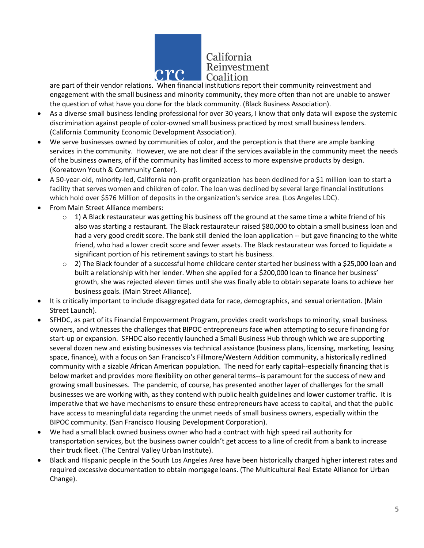

are part of their vendor relations. When financial institutions report their community reinvestment and engagement with the small business and minority community, they more often than not are unable to answer the question of what have you done for the black community. (Black Business Association).

- As a diverse small business lending professional for over 30 years, I know that only data will expose the systemic discrimination against people of color-owned small business practiced by most small business lenders. (California Community Economic Development Association).
- We serve businesses owned by communities of color, and the perception is that there are ample banking services in the community. However, we are not clear if the services available in the community meet the needs of the business owners, of if the community has limited access to more expensive products by design. (Koreatown Youth & Community Center).
- A 50-year-old, minority-led, California non-profit organization has been declined for a \$1 million loan to start a facility that serves women and children of color. The loan was declined by several large financial institutions which hold over \$576 Million of deposits in the organization's service area. (Los Angeles LDC).
- From Main Street Alliance members:
	- 1) A Black restaurateur was getting his business off the ground at the same time a white friend of his also was starting a restaurant. The Black restaurateur raised \$80,000 to obtain a small business loan and had a very good credit score. The bank still denied the loan application -- but gave financing to the white friend, who had a lower credit score and fewer assets. The Black restaurateur was forced to liquidate a significant portion of his retirement savings to start his business.
	- $\circ$  2) The Black founder of a successful home childcare center started her business with a \$25,000 loan and built a relationship with her lender. When she applied for a \$200,000 loan to finance her business' growth, she was rejected eleven times until she was finally able to obtain separate loans to achieve her business goals. (Main Street Alliance).
- It is critically important to include disaggregated data for race, demographics, and sexual orientation. (Main Street Launch).
- SFHDC, as part of its Financial Empowerment Program, provides credit workshops to minority, small business owners, and witnesses the challenges that BIPOC entrepreneurs face when attempting to secure financing for start-up or expansion. SFHDC also recently launched a Small Business Hub through which we are supporting several dozen new and existing businesses via technical assistance (business plans, licensing, marketing, leasing space, finance), with a focus on San Francisco's Fillmore/Western Addition community, a historically redlined community with a sizable African American population. The need for early capital--especially financing that is below market and provides more flexibility on other general terms--is paramount for the success of new and growing small businesses. The pandemic, of course, has presented another layer of challenges for the small businesses we are working with, as they contend with public health guidelines and lower customer traffic. It is imperative that we have mechanisms to ensure these entrepreneurs have access to capital, and that the public have access to meaningful data regarding the unmet needs of small business owners, especially within the BIPOC community. (San Francisco Housing Development Corporation).
- We had a small black owned business owner who had a contract with high speed rail authority for transportation services, but the business owner couldn't get access to a line of credit from a bank to increase their truck fleet. (The Central Valley Urban Institute).
- Black and Hispanic people in the South Los Angeles Area have been historically charged higher interest rates and required excessive documentation to obtain mortgage loans. (The Multicultural Real Estate Alliance for Urban Change).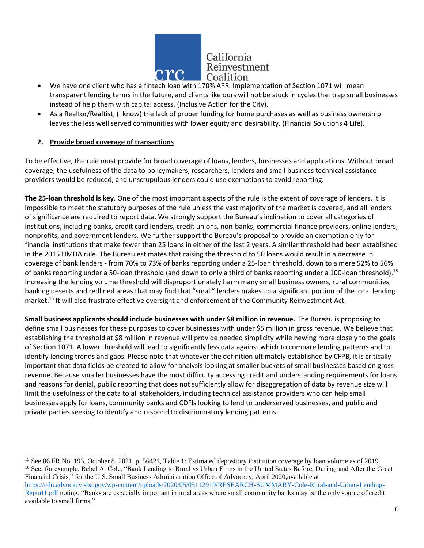

- We have one client who has a fintech loan with 170% APR. Implementation of Section 1071 will mean transparent lending terms in the future, and clients like ours will not be stuck in cycles that trap small businesses instead of help them with capital access. (Inclusive Action for the City).
- As a Realtor/Realtist, (I know) the lack of proper funding for home purchases as well as business ownership leaves the less well served communities with lower equity and desirability. (Financial Solutions 4 Life).

# **2. Provide broad coverage of transactions**

To be effective, the rule must provide for broad coverage of loans, lenders, businesses and applications. Without broad coverage, the usefulness of the data to policymakers, researchers, lenders and small business technical assistance providers would be reduced, and unscrupulous lenders could use exemptions to avoid reporting.

**The 25-loan threshold is key**. One of the most important aspects of the rule is the extent of coverage of lenders. It is impossible to meet the statutory purposes of the rule unless the vast majority of the market is covered, and all lenders of significance are required to report data. We strongly support the Bureau's inclination to cover all categories of institutions, including banks, credit card lenders, credit unions, non-banks, commercial finance providers, online lenders, nonprofits, and government lenders. We further support the Bureau's proposal to provide an exemption only for financial institutions that make fewer than 25 loans in either of the last 2 years. A similar threshold had been established in the 2015 HMDA rule. The Bureau estimates that raising the threshold to 50 loans would result in a decrease in coverage of bank lenders - from 70% to 73% of banks reporting under a 25-loan threshold, down to a mere 52% to 56% of banks reporting under a 50-loan threshold (and down to only a third of banks reporting under a 100-loan threshold).<sup>15</sup> Increasing the lending volume threshold will disproportionately harm many small business owners, rural communities, banking deserts and redlined areas that may find that "small" lenders makes up a significant portion of the local lending market.<sup>16</sup> It will also frustrate effective oversight and enforcement of the Community Reinvestment Act.

**Small business applicants should include businesses with under \$8 million in revenue.** The Bureau is proposing to define small businesses for these purposes to cover businesses with under \$5 million in gross revenue. We believe that establishing the threshold at \$8 million in revenue will provide needed simplicity while hewing more closely to the goals of Section 1071. A lower threshold will lead to significantly less data against which to compare lending patterns and to identify lending trends and gaps. Please note that whatever the definition ultimately established by CFPB, it is critically important that data fields be created to allow for analysis looking at smaller buckets of small businesses based on gross revenue. Because smaller businesses have the most difficulty accessing credit and understanding requirements for loans and reasons for denial, public reporting that does not sufficiently allow for disaggregation of data by revenue size will limit the usefulness of the data to all stakeholders, including technical assistance providers who can help small businesses apply for loans, community banks and CDFIs looking to lend to underserved businesses, and public and private parties seeking to identify and respond to discriminatory lending patterns.

<sup>&</sup>lt;sup>15</sup> See 86 FR No. 193, October 8, 2021, p. 56421, Table 1: Estimated depository institution coverage by loan volume as of 2019. <sup>16</sup> See, for example, Rebel A. Cole, "Bank Lending to Rural vs Urban Firms in the United States Before, During, and After the Great Financial Crisis," for the U.S. Small Business Administration Office of Advocacy, April 2020,available at [https://cdn.advocacy.sba.gov/wp-content/uploads/2020/05/05112919/RESEARCH-SUMMARY-Cole-Rural-and-Urban-Lending-](https://cdn.advocacy.sba.gov/wp-content/uploads/2020/05/05112919/RESEARCH-SUMMARY-Cole-Rural-and-Urban-Lending-Report1.pdf)[Report1.pdf](https://cdn.advocacy.sba.gov/wp-content/uploads/2020/05/05112919/RESEARCH-SUMMARY-Cole-Rural-and-Urban-Lending-Report1.pdf) noting, "Banks are especially important in rural areas where small community banks may be the only source of credit available to small firms."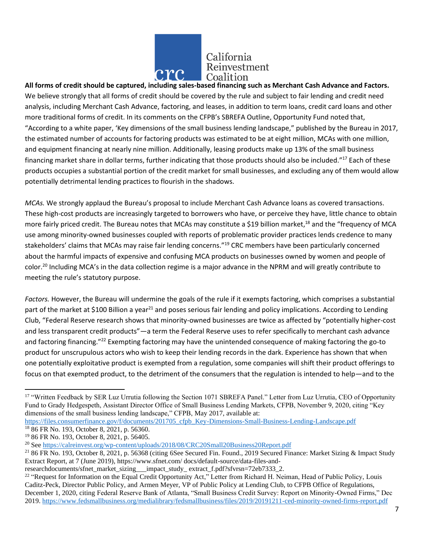

**All forms of credit should be captured, including sales-based financing such as Merchant Cash Advance and Factors.** We believe strongly that all forms of credit should be covered by the rule and subject to fair lending and credit need analysis, including Merchant Cash Advance, factoring, and leases, in addition to term loans, credit card loans and other more traditional forms of credit. In its comments on the CFPB's SBREFA Outline, Opportunity Fund noted that, "According to a white paper, 'Key dimensions of the small business lending landscape," published by the Bureau in 2017, the estimated number of accounts for factoring products was estimated to be at eight million, MCAs with one million, and equipment financing at nearly nine million. Additionally, leasing products make up 13% of the small business financing market share in dollar terms, further indicating that those products should also be included."<sup>17</sup> Each of these products occupies a substantial portion of the credit market for small businesses, and excluding any of them would allow potentially detrimental lending practices to flourish in the shadows.

*MCAs.* We strongly applaud the Bureau's proposal to include Merchant Cash Advance loans as covered transactions. These high-cost products are increasingly targeted to borrowers who have, or perceive they have, little chance to obtain more fairly priced credit. The Bureau notes that MCAs may constitute a \$19 billion market,<sup>18</sup> and the "frequency of MCA use among minority-owned businesses coupled with reports of problematic provider practices lends credence to many stakeholders' claims that MCAs may raise fair lending concerns."<sup>19</sup> CRC members have been particularly concerned about the harmful impacts of expensive and confusing MCA products on businesses owned by women and people of color.<sup>20</sup> Including MCA's in the data collection regime is a major advance in the NPRM and will greatly contribute to meeting the rule's statutory purpose.

*Factors.* However, the Bureau will undermine the goals of the rule if it exempts factoring, which comprises a substantial part of the market at \$100 Billion a year<sup>21</sup> and poses serious fair lending and policy implications. According to Lending Club, "Federal Reserve research shows that minority-owned businesses are twice as affected by "potentially higher-cost and less transparent credit products"—a term the Federal Reserve uses to refer specifically to merchant cash advance and factoring financing."<sup>22</sup> Exempting factoring may have the unintended consequence of making factoring the go-to product for unscrupulous actors who wish to keep their lending records in the dark. Experience has shown that when one potentially exploitative product is exempted from a regulation, some companies will shift their product offerings to focus on that exempted product, to the detriment of the consumers that the regulation is intended to help—and to the

<sup>&</sup>lt;sup>17</sup> "Written Feedback by SER Luz Urrutia following the Section 1071 SBREFA Panel." Letter from Luz Urrutia, CEO of Opportunity Fund to Grady Hedgespeth, Assistant Director Office of Small Business Lending Markets, CFPB, November 9, 2020, citing "Key dimensions of the small business lending landscape," CFPB, May 2017, available at:

[https://files.consumerfinance.gov/f/documents/201705\\_cfpb\\_Key-Dimensions-Small-Business-Lending-Landscape.pdf](https://files.consumerfinance.gov/f/documents/201705_cfpb_Key-Dimensions-Small-Business-Lending-Landscape.pdf) <sup>18</sup> 86 FR No. 193, October 8, 2021, p. 56360.

<sup>19</sup> 86 FR No. 193, October 8, 2021, p. 56405.

<sup>20</sup> See<https://calreinvest.org/wp-content/uploads/2018/08/CRC20Small20Business20Report.pdf>

<sup>&</sup>lt;sup>21</sup> 86 FR No. 193, October 8, 2021, p. 56368 (citing 6See Secured Fin. Found., 2019 Secured Finance: Market Sizing & Impact Study Extract Report, at 7 (June 2019), https://www.sfnet.com/ docs/default-source/data-files-and-

researchdocuments/sfnet\_market\_sizing\_\_\_\_impact\_study\_extract\_f.pdf?sfvrsn=72eb7333\_2.

<sup>&</sup>lt;sup>22</sup> "Request for Information on the Equal Credit Opportunity Act," Letter from Richard H. Neiman, Head of Public Policy, Louis Caditz-Peck, Director Public Policy, and Armen Meyer, VP of Public Policy at Lending Club, to CFPB Office of Regulations, December 1, 2020, citing Federal Reserve Bank of Atlanta, "Small Business Credit Survey: Report on Minority-Owned Firms," Dec 2019.<https://www.fedsmallbusiness.org/medialibrary/fedsmallbusiness/files/2019/20191211-ced-minority-owned-firms-report.pdf>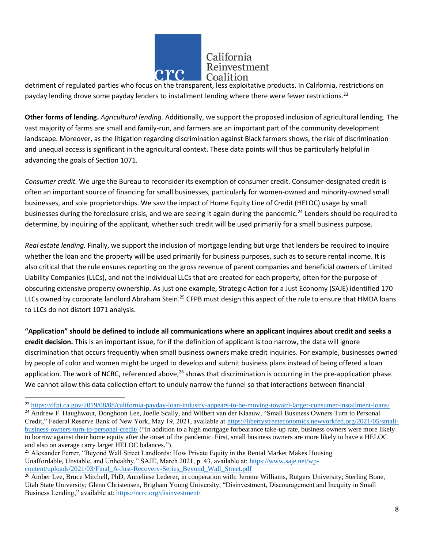

detriment of regulated parties who focus on the transparent, less exploitative products. In California, restrictions on payday lending drove some payday lenders to installment lending where there were fewer restrictions.<sup>23</sup>

**Other forms of lending.** *Agricultural lending.* Additionally, we support the proposed inclusion of agricultural lending. The vast majority of farms are small and family-run, and farmers are an important part of the community development landscape. Moreover, as the litigation regarding discrimination against Black farmers shows, the risk of discrimination and unequal access is significant in the agricultural context. These data points will thus be particularly helpful in advancing the goals of Section 1071.

*Consumer credit.* We urge the Bureau to reconsider its exemption of consumer credit. Consumer-designated credit is often an important source of financing for small businesses, particularly for women-owned and minority-owned small businesses, and sole proprietorships. We saw the impact of Home Equity Line of Credit (HELOC) usage by small businesses during the foreclosure crisis, and we are seeing it again during the pandemic.<sup>24</sup> Lenders should be required to determine, by inquiring of the applicant, whether such credit will be used primarily for a small business purpose.

*Real estate lending.* Finally, we support the inclusion of mortgage lending but urge that lenders be required to inquire whether the loan and the property will be used primarily for business purposes, such as to secure rental income. It is also critical that the rule ensures reporting on the gross revenue of parent companies and beneficial owners of Limited Liability Companies (LLCs), and not the individual LLCs that are created for each property, often for the purpose of obscuring extensive property ownership. As just one example, Strategic Action for a Just Economy (SAJE) identified 170 LLCs owned by corporate landlord Abraham Stein.<sup>25</sup> CFPB must design this aspect of the rule to ensure that HMDA loans to LLCs do not distort 1071 analysis.

**"Application" should be defined to include all communications where an applicant inquires about credit and seeks a credit decision.** This is an important issue, for if the definition of applicant is too narrow, the data will ignore discrimination that occurs frequently when small business owners make credit inquiries. For example, businesses owned by people of color and women might be urged to develop and submit business plans instead of being offered a loan application. The work of NCRC, referenced above, $26$  shows that discrimination is occurring in the pre-application phase. We cannot allow this data collection effort to unduly narrow the funnel so that interactions between financial

<sup>23</sup> <https://dfpi.ca.gov/2019/08/08/california-payday-loan-industry-appears-to-be-moving-toward-larger-consumer-installment-loans/>

<sup>&</sup>lt;sup>24</sup> Andrew F. Haughwout, Donghoon Lee, Joelle Scally, and Wilbert van der Klaauw, "Small Business Owners Turn to Personal Credit," Federal Reserve Bank of New York, May 19, 2021, available at [https://libertystreeteconomics.newyorkfed.org/2021/05/small](https://libertystreeteconomics.newyorkfed.org/2021/05/small-business-owners-turn-to-personal-credit/)[business-owners-turn-to-personal-credit/](https://libertystreeteconomics.newyorkfed.org/2021/05/small-business-owners-turn-to-personal-credit/) ("In addition to a high mortgage forbearance take-up rate, business owners were more likely to borrow against their home equity after the onset of the pandemic. First, small business owners are more likely to have a HELOC and also on average carry larger HELOC balances.").

<sup>&</sup>lt;sup>25</sup> Alexander Ferrer, "Beyond Wall Street Landlords: How Private Equity in the Rental Market Makes Housing Unaffordable, Unstable, and Unhealthy," SAJE, March 2021, p. 43, available at: [https://www.saje.net/wp](https://www.saje.net/wp-content/uploads/2021/03/Final_A-Just-Recovery-Series_Beyond_Wall_Street.pdf)[content/uploads/2021/03/Final\\_A-Just-Recovery-Series\\_Beyond\\_Wall\\_Street.pdf](https://www.saje.net/wp-content/uploads/2021/03/Final_A-Just-Recovery-Series_Beyond_Wall_Street.pdf)

<sup>&</sup>lt;sup>26</sup> Amber Lee, Bruce Mitchell, PhD, Anneliese Lederer, in cooperation with: Jerome Williams, Rutgers University; Sterling Bone, Utah State University; Glenn Christensen, Brigham Young University, "Disinvestment, Discouragement and Inequity in Small Business Lending," available at:<https://ncrc.org/disinvestment/>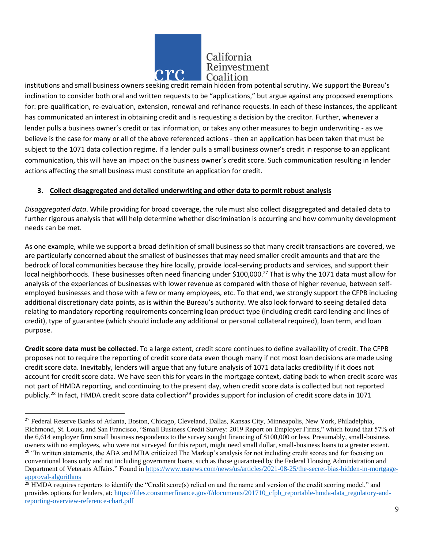

institutions and small business owners seeking credit remain hidden from potential scrutiny. We support the Bureau's inclination to consider both oral and written requests to be "applications," but argue against any proposed exemptions for: pre-qualification, re-evaluation, extension, renewal and refinance requests. In each of these instances, the applicant has communicated an interest in obtaining credit and is requesting a decision by the creditor. Further, whenever a lender pulls a business owner's credit or tax information, or takes any other measures to begin underwriting - as we believe is the case for many or all of the above referenced actions - then an application has been taken that must be subject to the 1071 data collection regime. If a lender pulls a small business owner's credit in response to an applicant communication, this will have an impact on the business owner's credit score. Such communication resulting in lender actions affecting the small business must constitute an application for credit.

## **3. Collect disaggregated and detailed underwriting and other data to permit robust analysis**

*Disaggregated data*. While providing for broad coverage, the rule must also collect disaggregated and detailed data to further rigorous analysis that will help determine whether discrimination is occurring and how community development needs can be met.

As one example, while we support a broad definition of small business so that many credit transactions are covered, we are particularly concerned about the smallest of businesses that may need smaller credit amounts and that are the bedrock of local communities because they hire locally, provide local-serving products and services, and support their local neighborhoods. These businesses often need financing under \$100,000.<sup>27</sup> That is why the 1071 data must allow for analysis of the experiences of businesses with lower revenue as compared with those of higher revenue, between selfemployed businesses and those with a few or many employees, etc. To that end, we strongly support the CFPB including additional discretionary data points, as is within the Bureau's authority. We also look forward to seeing detailed data relating to mandatory reporting requirements concerning loan product type (including credit card lending and lines of credit), type of guarantee (which should include any additional or personal collateral required), loan term, and loan purpose.

**Credit score data must be collected**. To a large extent, credit score continues to define availability of credit. The CFPB proposes not to require the reporting of credit score data even though many if not most loan decisions are made using credit score data. Inevitably, lenders will argue that any future analysis of 1071 data lacks credibility if it does not account for credit score data. We have seen this for years in the mortgage context, dating back to when credit score was not part of HMDA reporting, and continuing to the present day, when credit score data is collected but not reported publicly.<sup>28</sup> In fact, HMDA credit score data collection<sup>29</sup> provides support for inclusion of credit score data in 1071

<sup>&</sup>lt;sup>27</sup> Federal Reserve Banks of Atlanta, Boston, Chicago, Cleveland, Dallas, Kansas City, Minneapolis, New York, Philadelphia, Richmond, St. Louis, and San Francisco, "Small Business Credit Survey: 2019 Report on Employer Firms," which found that 57% of the 6,614 employer firm small business respondents to the survey sought financing of \$100,000 or less. Presumably, small-business owners with no employees, who were not surveyed for this report, might need small dollar, small-business loans to a greater extent. <sup>28</sup> "In written statements, the ABA and MBA criticized The Markup's analysis for not including credit scores and for focusing on conventional loans only and not including government loans, such as those guaranteed by the Federal Housing Administration and Department of Veterans Affairs." Found i[n https://www.usnews.com/news/us/articles/2021-08-25/the-secret-bias-hidden-in-mortgage](https://www.usnews.com/news/us/articles/2021-08-25/the-secret-bias-hidden-in-mortgage-approval-algorithms)[approval-algorithms](https://www.usnews.com/news/us/articles/2021-08-25/the-secret-bias-hidden-in-mortgage-approval-algorithms)

 $^{29}$  HMDA requires reporters to identify the "Credit score(s) relied on and the name and version of the credit scoring model," and provides options for lenders, at: [https://files.consumerfinance.gov/f/documents/201710\\_cfpb\\_reportable-hmda-data\\_regulatory-and](https://files.consumerfinance.gov/f/documents/201710_cfpb_reportable-hmda-data_regulatory-and-reporting-overview-reference-chart.pdf)[reporting-overview-reference-chart.pdf](https://files.consumerfinance.gov/f/documents/201710_cfpb_reportable-hmda-data_regulatory-and-reporting-overview-reference-chart.pdf)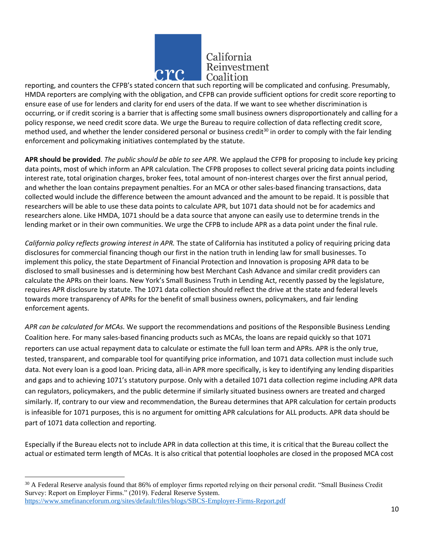

reporting, and counters the CFPB's stated concern that such reporting will be complicated and confusing. Presumably, HMDA reporters are complying with the obligation, and CFPB can provide sufficient options for credit score reporting to ensure ease of use for lenders and clarity for end users of the data. If we want to see whether discrimination is occurring, or if credit scoring is a barrier that is affecting some small business owners disproportionately and calling for a policy response, we need credit score data. We urge the Bureau to require collection of data reflecting credit score, method used, and whether the lender considered personal or business credit<sup>30</sup> in order to comply with the fair lending enforcement and policymaking initiatives contemplated by the statute.

**APR should be provided**. *The public should be able to see APR.* We applaud the CFPB for proposing to include key pricing data points, most of which inform an APR calculation. The CFPB proposes to collect several pricing data points including interest rate, total origination charges, broker fees, total amount of non-interest charges over the first annual period, and whether the loan contains prepayment penalties. For an MCA or other sales-based financing transactions, data collected would include the difference between the amount advanced and the amount to be repaid. It is possible that researchers will be able to use these data points to calculate APR, but 1071 data should not be for academics and researchers alone. Like HMDA, 1071 should be a data source that anyone can easily use to determine trends in the lending market or in their own communities. We urge the CFPB to include APR as a data point under the final rule.

*California policy reflects growing interest in APR.* The state of California has instituted a policy of requiring pricing data disclosures for commercial financing though our first in the nation truth in lending law for small businesses. To implement this policy, the state Department of Financial Protection and Innovation is proposing APR data to be disclosed to small businesses and is determining how best Merchant Cash Advance and similar credit providers can calculate the APRs on their loans. New York's Small Business Truth in Lending Act, recently passed by the legislature, requires APR disclosure by statute. The 1071 data collection should reflect the drive at the state and federal levels towards more transparency of APRs for the benefit of small business owners, policymakers, and fair lending enforcement agents.

*APR can be calculated for MCAs.* We support the recommendations and positions of the Responsible Business Lending Coalition here. For many sales-based financing products such as MCAs, the loans are repaid quickly so that 1071 reporters can use actual repayment data to calculate or estimate the full loan term and APRs. APR is the only true, tested, transparent, and comparable tool for quantifying price information, and 1071 data collection must include such data. Not every loan is a good loan. Pricing data, all-in APR more specifically, is key to identifying any lending disparities and gaps and to achieving 1071's statutory purpose. Only with a detailed 1071 data collection regime including APR data can regulators, policymakers, and the public determine if similarly situated business owners are treated and charged similarly. If, contrary to our view and recommendation, the Bureau determines that APR calculation for certain products is infeasible for 1071 purposes, this is no argument for omitting APR calculations for ALL products. APR data should be part of 1071 data collection and reporting.

Especially if the Bureau elects not to include APR in data collection at this time, it is critical that the Bureau collect the actual or estimated term length of MCAs. It is also critical that potential loopholes are closed in the proposed MCA cost

 $30$  A Federal Reserve analysis found that 86% of employer firms reported relying on their personal credit. "Small Business Credit" Survey: Report on Employer Firms." (2019). Federal Reserve System. <https://www.smefinanceforum.org/sites/default/files/blogs/SBCS-Employer-Firms-Report.pdf>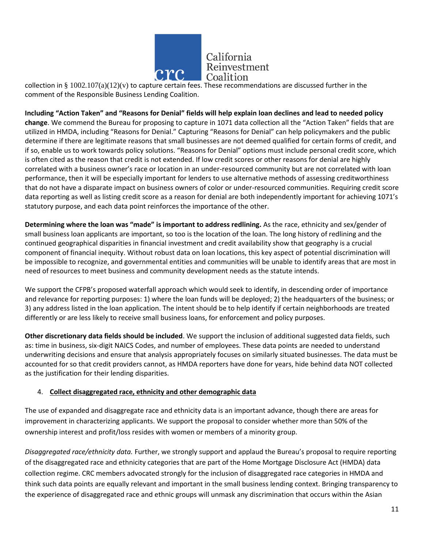

collection in §  $1002.107(a)(12)(v)$  to capture certain fees. These recommendations are discussed further in the comment of the Responsible Business Lending Coalition.

**Including "Action Taken" and "Reasons for Denial" fields will help explain loan declines and lead to needed policy change**. We commend the Bureau for proposing to capture in 1071 data collection all the "Action Taken" fields that are utilized in HMDA, including "Reasons for Denial." Capturing "Reasons for Denial" can help policymakers and the public determine if there are legitimate reasons that small businesses are not deemed qualified for certain forms of credit, and if so, enable us to work towards policy solutions. "Reasons for Denial" options must include personal credit score, which is often cited as the reason that credit is not extended. If low credit scores or other reasons for denial are highly correlated with a business owner's race or location in an under-resourced community but are not correlated with loan performance, then it will be especially important for lenders to use alternative methods of assessing creditworthiness that do not have a disparate impact on business owners of color or under-resourced communities. Requiring credit score data reporting as well as listing credit score as a reason for denial are both independently important for achieving 1071's statutory purpose, and each data point reinforces the importance of the other.

**Determining where the loan was "made" is important to address redlining.** As the race, ethnicity and sex/gender of small business loan applicants are important, so too is the location of the loan. The long history of redlining and the continued geographical disparities in financial investment and credit availability show that geography is a crucial component of financial inequity. Without robust data on loan locations, this key aspect of potential discrimination will be impossible to recognize, and governmental entities and communities will be unable to identify areas that are most in need of resources to meet business and community development needs as the statute intends.

We support the CFPB's proposed waterfall approach which would seek to identify, in descending order of importance and relevance for reporting purposes: 1) where the loan funds will be deployed; 2) the headquarters of the business; or 3) any address listed in the loan application. The intent should be to help identify if certain neighborhoods are treated differently or are less likely to receive small business loans, for enforcement and policy purposes.

**Other discretionary data fields should be included**. We support the inclusion of additional suggested data fields, such as: time in business, six-digit NAICS Codes, and number of employees. These data points are needed to understand underwriting decisions and ensure that analysis appropriately focuses on similarly situated businesses. The data must be accounted for so that credit providers cannot, as HMDA reporters have done for years, hide behind data NOT collected as the justification for their lending disparities.

## 4. **Collect disaggregated race, ethnicity and other demographic data**

The use of expanded and disaggregate race and ethnicity data is an important advance, though there are areas for improvement in characterizing applicants. We support the proposal to consider whether more than 50% of the ownership interest and profit/loss resides with women or members of a minority group.

*Disaggregated race/ethnicity data.* Further, we strongly support and applaud the Bureau's proposal to require reporting of the disaggregated race and ethnicity categories that are part of the Home Mortgage Disclosure Act (HMDA) data collection regime. CRC members advocated strongly for the inclusion of disaggregated race categories in HMDA and think such data points are equally relevant and important in the small business lending context. Bringing transparency to the experience of disaggregated race and ethnic groups will unmask any discrimination that occurs within the Asian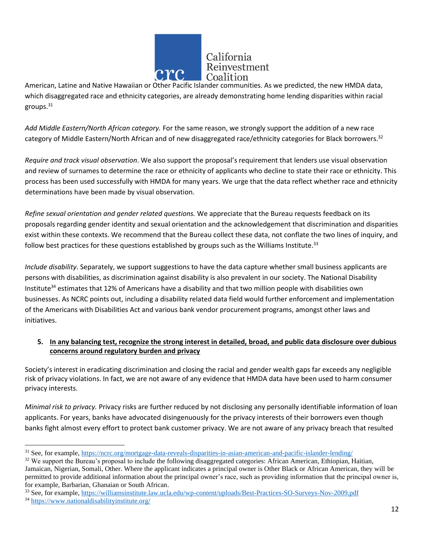

American, Latine and Native Hawaiian or Other Pacific Islander communities. As we predicted, the new HMDA data, which disaggregated race and ethnicity categories, are already demonstrating home lending disparities within racial groups. $31$ 

*Add Middle Eastern/North African category.* For the same reason, we strongly support the addition of a new race category of Middle Eastern/North African and of new disaggregated race/ethnicity categories for Black borrowers.<sup>32</sup>

*Require and track visual observation*. We also support the proposal's requirement that lenders use visual observation and review of surnames to determine the race or ethnicity of applicants who decline to state their race or ethnicity. This process has been used successfully with HMDA for many years. We urge that the data reflect whether race and ethnicity determinations have been made by visual observation.

*Refine sexual orientation and gender related questions.* We appreciate that the Bureau requests feedback on its proposals regarding gender identity and sexual orientation and the acknowledgement that discrimination and disparities exist within these contexts. We recommend that the Bureau collect these data, not conflate the two lines of inquiry, and follow best practices for these questions established by groups such as the Williams Institute.<sup>33</sup>

*Include disability*. Separately, we support suggestions to have the data capture whether small business applicants are persons with disabilities, as discrimination against disability is also prevalent in our society. The National Disability Institute<sup>34</sup> estimates that 12% of Americans have a disability and that two million people with disabilities own businesses. As NCRC points out, including a disability related data field would further enforcement and implementation of the Americans with Disabilities Act and various bank vendor procurement programs, amongst other laws and initiatives.

# **5. In any balancing test, recognize the strong interest in detailed, broad, and public data disclosure over dubious concerns around regulatory burden and privacy**

Society's interest in eradicating discrimination and closing the racial and gender wealth gaps far exceeds any negligible risk of privacy violations. In fact, we are not aware of any evidence that HMDA data have been used to harm consumer privacy interests.

*Minimal risk to privacy.* Privacy risks are further reduced by not disclosing any personally identifiable information of loan applicants. For years, banks have advocated disingenuously for the privacy interests of their borrowers even though banks fight almost every effort to protect bank customer privacy. We are not aware of any privacy breach that resulted

<sup>&</sup>lt;sup>31</sup> See, for example,<https://ncrc.org/mortgage-data-reveals-disparities-in-asian-american-and-pacific-islander-lending/>

 $32$  We support the Bureau's proposal to include the following disaggregated categories: African American, Ethiopian, Haitian, Jamaican, Nigerian, Somali, Other. Where the applicant indicates a principal owner is Other Black or African American, they will be permitted to provide additional information about the principal owner's race, such as providing information that the principal owner is, for example, Barbarian, Ghanaian or South African.

<sup>33</sup> See, for example,<https://williamsinstitute.law.ucla.edu/wp-content/uploads/Best-Practices-SO-Surveys-Nov-2009.pdf> <sup>34</sup> <https://www.nationaldisabilityinstitute.org/>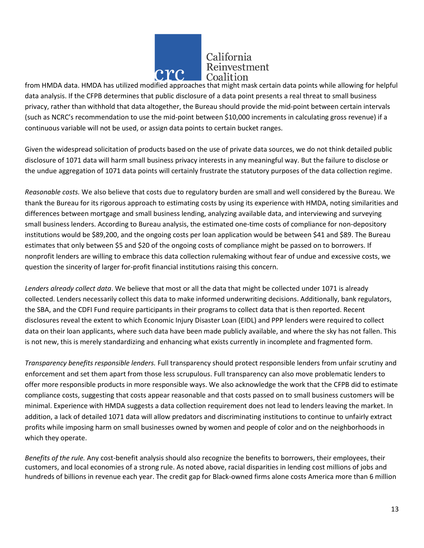

from HMDA data. HMDA has utilized modified approaches that might mask certain data points while allowing for helpful data analysis. If the CFPB determines that public disclosure of a data point presents a real threat to small business privacy, rather than withhold that data altogether, the Bureau should provide the mid-point between certain intervals (such as NCRC's recommendation to use the mid-point between \$10,000 increments in calculating gross revenue) if a continuous variable will not be used, or assign data points to certain bucket ranges.

Given the widespread solicitation of products based on the use of private data sources, we do not think detailed public disclosure of 1071 data will harm small business privacy interests in any meaningful way. But the failure to disclose or the undue aggregation of 1071 data points will certainly frustrate the statutory purposes of the data collection regime.

*Reasonable costs.* We also believe that costs due to regulatory burden are small and well considered by the Bureau. We thank the Bureau for its rigorous approach to estimating costs by using its experience with HMDA, noting similarities and differences between mortgage and small business lending, analyzing available data, and interviewing and surveying small business lenders. According to Bureau analysis, the estimated one-time costs of compliance for non-depository institutions would be \$89,200, and the ongoing costs per loan application would be between \$41 and \$89. The Bureau estimates that only between \$5 and \$20 of the ongoing costs of compliance might be passed on to borrowers. If nonprofit lenders are willing to embrace this data collection rulemaking without fear of undue and excessive costs, we question the sincerity of larger for-profit financial institutions raising this concern.

*Lenders already collect data*. We believe that most or all the data that might be collected under 1071 is already collected. Lenders necessarily collect this data to make informed underwriting decisions. Additionally, bank regulators, the SBA, and the CDFI Fund require participants in their programs to collect data that is then reported. Recent disclosures reveal the extent to which Economic Injury Disaster Loan (EIDL) and PPP lenders were required to collect data on their loan applicants, where such data have been made publicly available, and where the sky has not fallen. This is not new, this is merely standardizing and enhancing what exists currently in incomplete and fragmented form.

*Transparency benefits responsible lenders.* Full transparency should protect responsible lenders from unfair scrutiny and enforcement and set them apart from those less scrupulous. Full transparency can also move problematic lenders to offer more responsible products in more responsible ways. We also acknowledge the work that the CFPB did to estimate compliance costs, suggesting that costs appear reasonable and that costs passed on to small business customers will be minimal. Experience with HMDA suggests a data collection requirement does not lead to lenders leaving the market. In addition, a lack of detailed 1071 data will allow predators and discriminating institutions to continue to unfairly extract profits while imposing harm on small businesses owned by women and people of color and on the neighborhoods in which they operate.

*Benefits of the rule.* Any cost-benefit analysis should also recognize the benefits to borrowers, their employees, their customers, and local economies of a strong rule. As noted above, racial disparities in lending cost millions of jobs and hundreds of billions in revenue each year. The credit gap for Black-owned firms alone costs America more than 6 million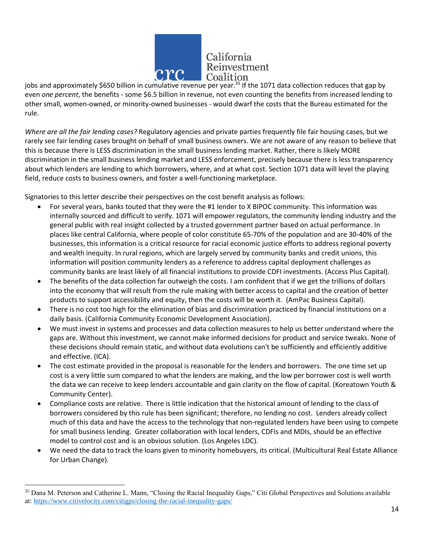

jobs and approximately \$650 billion in cumulative revenue per year.<sup>35</sup> If the 1071 data collection reduces that gap by even *one percent*, the benefits - some \$6.5 billion in revenue, not even counting the benefits from increased lending to other small, women-owned, or minority-owned businesses - would dwarf the costs that the Bureau estimated for the rule.

*Where are all the fair lending cases?* Regulatory agencies and private parties frequently file fair housing cases, but we rarely see fair lending cases brought on behalf of small business owners. We are not aware of any reason to believe that this is because there is LESS discrimination in the small business lending market. Rather, there is likely MORE discrimination in the small business lending market and LESS enforcement, precisely because there is less transparency about which lenders are lending to which borrowers, where, and at what cost. Section 1071 data will level the playing field, reduce costs to business owners, and foster a well-functioning marketplace.

Signatories to this letter describe their perspectives on the cost benefit analysis as follows:

- For several years, banks touted that they were the #1 lender to X BIPOC community. This information was internally sourced and difficult to verify. 1071 will empower regulators, the community lending industry and the general public with real insight collected by a trusted government partner based on actual performance. In places like central California, where people of color constitute 65-70% of the population and are 30-40% of the businesses, this information is a critical resource for racial economic justice efforts to address regional poverty and wealth inequity. In rural regions, which are largely served by community banks and credit unions, this information will position community lenders as a reference to address capital deployment challenges as community banks are least likely of all financial institutions to provide CDFI investments. (Access Plus Capital).
- The benefits of the data collection far outweigh the costs. I am confident that if we get the trillions of dollars into the economy that will result from the rule making with better access to capital and the creation of better products to support accessibility and equity, then the costs will be worth it. (AmPac Business Capital).
- There is no cost too high for the elimination of bias and discrimination practiced by financial institutions on a daily basis. (California Community Economic Development Association).
- We must invest in systems and processes and data collection measures to help us better understand where the gaps are. Without this investment, we cannot make informed decisions for product and service tweaks. None of these decisions should remain static, and without data evolutions can't be sufficiently and efficiently additive and effective. (ICA).
- The cost estimate provided in the proposal is reasonable for the lenders and borrowers. The one time set up cost is a very little sum compared to what the lenders are making, and the low per borrower cost is well worth the data we can receive to keep lenders accountable and gain clarity on the flow of capital. (Koreatown Youth & Community Center).
- Compliance costs are relative. There is little indication that the historical amount of lending to the class of borrowers considered by this rule has been significant; therefore, no lending no cost. Lenders already collect much of this data and have the access to the technology that non-regulated lenders have been using to compete for small business lending. Greater collaboration with local lenders, CDFIs and MDIs, should be an effective model to control cost and is an obvious solution. (Los Angeles LDC).
- We need the data to track the loans given to minority homebuyers, its critical. (Multicultural Real Estate Alliance for Urban Change).

<sup>35</sup> Dana M. Peterson and Catherine L. Mann, "Closing the Racial Inequality Gaps," Citi Global Perspectives and Solutions available at:<https://www.citivelocity.com/citigps/closing-the-racial-inequality-gaps/>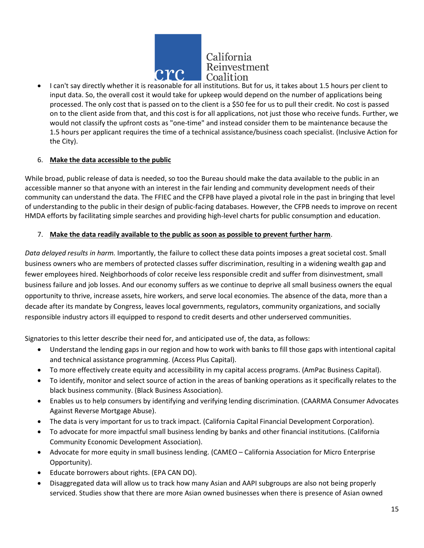

• I can't say directly whether it is reasonable for all institutions. But for us, it takes about 1.5 hours per client to input data. So, the overall cost it would take for upkeep would depend on the number of applications being processed. The only cost that is passed on to the client is a \$50 fee for us to pull their credit. No cost is passed on to the client aside from that, and this cost is for all applications, not just those who receive funds. Further, we would not classify the upfront costs as "one-time" and instead consider them to be maintenance because the 1.5 hours per applicant requires the time of a technical assistance/business coach specialist. (Inclusive Action for the City).

# 6. **Make the data accessible to the public**

While broad, public release of data is needed, so too the Bureau should make the data available to the public in an accessible manner so that anyone with an interest in the fair lending and community development needs of their community can understand the data. The FFIEC and the CFPB have played a pivotal role in the past in bringing that level of understanding to the public in their design of public-facing databases. However, the CFPB needs to improve on recent HMDA efforts by facilitating simple searches and providing high-level charts for public consumption and education.

## 7. **Make the data readily available to the public as soon as possible to prevent further harm**.

*Data delayed results in harm.* Importantly, the failure to collect these data points imposes a great societal cost. Small business owners who are members of protected classes suffer discrimination, resulting in a widening wealth gap and fewer employees hired. Neighborhoods of color receive less responsible credit and suffer from disinvestment, small business failure and job losses. And our economy suffers as we continue to deprive all small business owners the equal opportunity to thrive, increase assets, hire workers, and serve local economies. The absence of the data, more than a decade after its mandate by Congress, leaves local governments, regulators, community organizations, and socially responsible industry actors ill equipped to respond to credit deserts and other underserved communities.

Signatories to this letter describe their need for, and anticipated use of, the data, as follows:

- Understand the lending gaps in our region and how to work with banks to fill those gaps with intentional capital and technical assistance programming. (Access Plus Capital).
- To more effectively create equity and accessibility in my capital access programs. (AmPac Business Capital).
- To identify, monitor and select source of action in the areas of banking operations as it specifically relates to the black business community. (Black Business Association).
- Enables us to help consumers by identifying and verifying lending discrimination. (CAARMA Consumer Advocates Against Reverse Mortgage Abuse).
- The data is very important for us to track impact. (California Capital Financial Development Corporation).
- To advocate for more impactful small business lending by banks and other financial institutions. (California Community Economic Development Association).
- Advocate for more equity in small business lending. (CAMEO California Association for Micro Enterprise Opportunity).
- Educate borrowers about rights. (EPA CAN DO).
- Disaggregated data will allow us to track how many Asian and AAPI subgroups are also not being properly serviced. Studies show that there are more Asian owned businesses when there is presence of Asian owned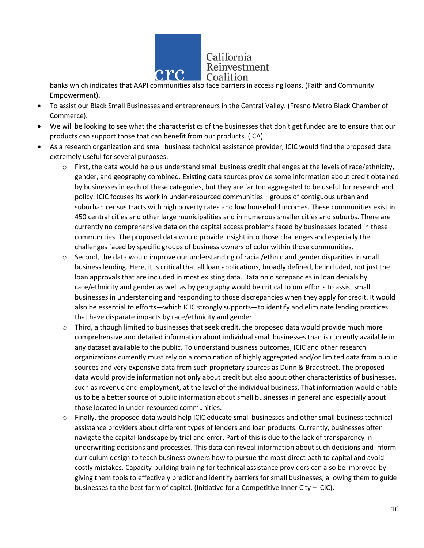

banks which indicates that AAPI communities also face barriers in accessing loans. (Faith and Community Empowerment).

- To assist our Black Small Businesses and entrepreneurs in the Central Valley. (Fresno Metro Black Chamber of Commerce).
- We will be looking to see what the characteristics of the businesses that don't get funded are to ensure that our products can support those that can benefit from our products. (ICA).
- As a research organization and small business technical assistance provider, ICIC would find the proposed data extremely useful for several purposes.
	- o First, the data would help us understand small business credit challenges at the levels of race/ethnicity, gender, and geography combined. Existing data sources provide some information about credit obtained by businesses in each of these categories, but they are far too aggregated to be useful for research and policy. ICIC focuses its work in under-resourced communities—groups of contiguous urban and suburban census tracts with high poverty rates and low household incomes. These communities exist in 450 central cities and other large municipalities and in numerous smaller cities and suburbs. There are currently no comprehensive data on the capital access problems faced by businesses located in these communities. The proposed data would provide insight into those challenges and especially the challenges faced by specific groups of business owners of color within those communities.
	- $\circ$  Second, the data would improve our understanding of racial/ethnic and gender disparities in small business lending. Here, it is critical that all loan applications, broadly defined, be included, not just the loan approvals that are included in most existing data. Data on discrepancies in loan denials by race/ethnicity and gender as well as by geography would be critical to our efforts to assist small businesses in understanding and responding to those discrepancies when they apply for credit. It would also be essential to efforts—which ICIC strongly supports—to identify and eliminate lending practices that have disparate impacts by race/ethnicity and gender.
	- o Third, although limited to businesses that seek credit, the proposed data would provide much more comprehensive and detailed information about individual small businesses than is currently available in any dataset available to the public. To understand business outcomes, ICIC and other research organizations currently must rely on a combination of highly aggregated and/or limited data from public sources and very expensive data from such proprietary sources as Dunn & Bradstreet. The proposed data would provide information not only about credit but also about other characteristics of businesses, such as revenue and employment, at the level of the individual business. That information would enable us to be a better source of public information about small businesses in general and especially about those located in under-resourced communities.
	- $\circ$  Finally, the proposed data would help ICIC educate small businesses and other small business technical assistance providers about different types of lenders and loan products. Currently, businesses often navigate the capital landscape by trial and error. Part of this is due to the lack of transparency in underwriting decisions and processes. This data can reveal information about such decisions and inform curriculum design to teach business owners how to pursue the most direct path to capital and avoid costly mistakes. Capacity-building training for technical assistance providers can also be improved by giving them tools to effectively predict and identify barriers for small businesses, allowing them to guide businesses to the best form of capital. (Initiative for a Competitive Inner City – ICIC).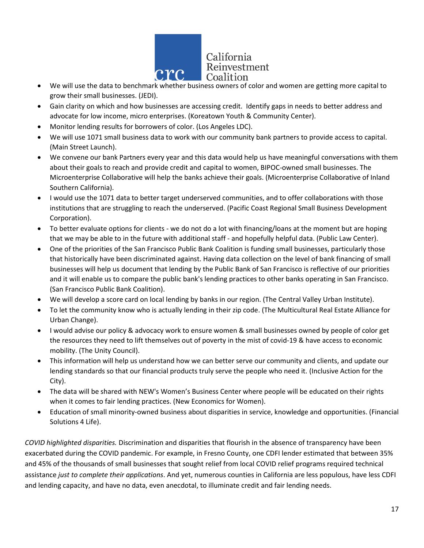

- We will use the data to benchmark whether business owners of color and women are getting more capital to grow their small businesses. (JEDI).
- Gain clarity on which and how businesses are accessing credit. Identify gaps in needs to better address and advocate for low income, micro enterprises. (Koreatown Youth & Community Center).
- Monitor lending results for borrowers of color. (Los Angeles LDC).
- We will use 1071 small business data to work with our community bank partners to provide access to capital. (Main Street Launch).
- We convene our bank Partners every year and this data would help us have meaningful conversations with them about their goals to reach and provide credit and capital to women, BIPOC-owned small businesses. The Microenterprise Collaborative will help the banks achieve their goals. (Microenterprise Collaborative of Inland Southern California).
- I would use the 1071 data to better target underserved communities, and to offer collaborations with those institutions that are struggling to reach the underserved. (Pacific Coast Regional Small Business Development Corporation).
- To better evaluate options for clients we do not do a lot with financing/loans at the moment but are hoping that we may be able to in the future with additional staff - and hopefully helpful data. (Public Law Center).
- One of the priorities of the San Francisco Public Bank Coalition is funding small businesses, particularly those that historically have been discriminated against. Having data collection on the level of bank financing of small businesses will help us document that lending by the Public Bank of San Francisco is reflective of our priorities and it will enable us to compare the public bank's lending practices to other banks operating in San Francisco. (San Francisco Public Bank Coalition).
- We will develop a score card on local lending by banks in our region. (The Central Valley Urban Institute).
- To let the community know who is actually lending in their zip code. (The Multicultural Real Estate Alliance for Urban Change).
- I would advise our policy & advocacy work to ensure women & small businesses owned by people of color get the resources they need to lift themselves out of poverty in the mist of covid-19 & have access to economic mobility. (The Unity Council).
- This information will help us understand how we can better serve our community and clients, and update our lending standards so that our financial products truly serve the people who need it. (Inclusive Action for the City).
- The data will be shared with NEW's Women's Business Center where people will be educated on their rights when it comes to fair lending practices. (New Economics for Women).
- Education of small minority-owned business about disparities in service, knowledge and opportunities. (Financial Solutions 4 Life).

*COVID highlighted disparities.* Discrimination and disparities that flourish in the absence of transparency have been exacerbated during the COVID pandemic. For example, in Fresno County, one CDFI lender estimated that between 35% and 45% of the thousands of small businesses that sought relief from local COVID relief programs required technical assistance *just to complete their applications*. And yet, numerous counties in California are less populous, have less CDFI and lending capacity, and have no data, even anecdotal, to illuminate credit and fair lending needs.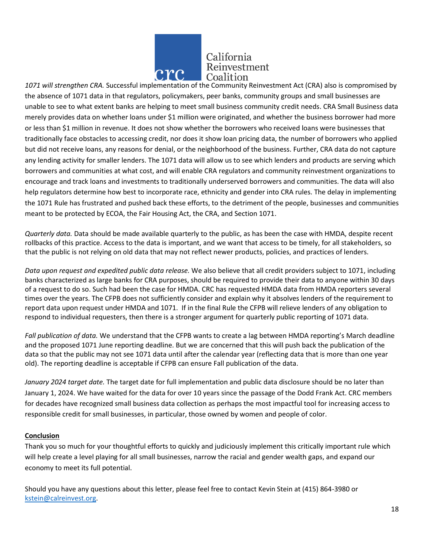

*1071 will strengthen CRA.* Successful implementation of the Community Reinvestment Act (CRA) also is compromised by the absence of 1071 data in that regulators, policymakers, peer banks, community groups and small businesses are unable to see to what extent banks are helping to meet small business community credit needs. CRA Small Business data merely provides data on whether loans under \$1 million were originated, and whether the business borrower had more or less than \$1 million in revenue. It does not show whether the borrowers who received loans were businesses that traditionally face obstacles to accessing credit, nor does it show loan pricing data, the number of borrowers who applied but did not receive loans, any reasons for denial, or the neighborhood of the business. Further, CRA data do not capture any lending activity for smaller lenders. The 1071 data will allow us to see which lenders and products are serving which borrowers and communities at what cost, and will enable CRA regulators and community reinvestment organizations to encourage and track loans and investments to traditionally underserved borrowers and communities. The data will also help regulators determine how best to incorporate race, ethnicity and gender into CRA rules. The delay in implementing the 1071 Rule has frustrated and pushed back these efforts, to the detriment of the people, businesses and communities meant to be protected by ECOA, the Fair Housing Act, the CRA, and Section 1071.

*Quarterly data.* Data should be made available quarterly to the public, as has been the case with HMDA, despite recent rollbacks of this practice. Access to the data is important, and we want that access to be timely, for all stakeholders, so that the public is not relying on old data that may not reflect newer products, policies, and practices of lenders.

*Data upon request and expedited public data release.* We also believe that all credit providers subject to 1071, including banks characterized as large banks for CRA purposes, should be required to provide their data to anyone within 30 days of a request to do so. Such had been the case for HMDA. CRC has requested HMDA data from HMDA reporters several times over the years. The CFPB does not sufficiently consider and explain why it absolves lenders of the requirement to report data upon request under HMDA and 1071. If in the final Rule the CFPB will relieve lenders of any obligation to respond to individual requesters, then there is a stronger argument for quarterly public reporting of 1071 data.

*Fall publication of data.* We understand that the CFPB wants to create a lag between HMDA reporting's March deadline and the proposed 1071 June reporting deadline. But we are concerned that this will push back the publication of the data so that the public may not see 1071 data until after the calendar year (reflecting data that is more than one year old). The reporting deadline is acceptable if CFPB can ensure Fall publication of the data.

*January 2024 target date.* The target date for full implementation and public data disclosure should be no later than January 1, 2024. We have waited for the data for over 10 years since the passage of the Dodd Frank Act. CRC members for decades have recognized small business data collection as perhaps the most impactful tool for increasing access to responsible credit for small businesses, in particular, those owned by women and people of color.

#### **Conclusion**

Thank you so much for your thoughtful efforts to quickly and judiciously implement this critically important rule which will help create a level playing for all small businesses, narrow the racial and gender wealth gaps, and expand our economy to meet its full potential.

Should you have any questions about this letter, please feel free to contact Kevin Stein at (415) 864-3980 or [kstein@calreinvest.org.](mailto:kstein@calreinvest.org)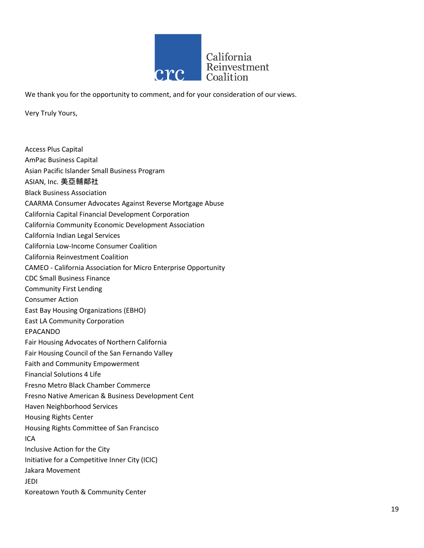

We thank you for the opportunity to comment, and for your consideration of our views.

Very Truly Yours,

Access Plus Capital AmPac Business Capital Asian Pacific Islander Small Business Program ASIAN, Inc. 美亞輔鄰社 Black Business Association CAARMA Consumer Advocates Against Reverse Mortgage Abuse California Capital Financial Development Corporation California Community Economic Development Association California Indian Legal Services California Low-Income Consumer Coalition California Reinvestment Coalition CAMEO - California Association for Micro Enterprise Opportunity CDC Small Business Finance Community First Lending Consumer Action East Bay Housing Organizations (EBHO) East LA Community Corporation EPACANDO Fair Housing Advocates of Northern California Fair Housing Council of the San Fernando Valley Faith and Community Empowerment Financial Solutions 4 Life Fresno Metro Black Chamber Commerce Fresno Native American & Business Development Cent Haven Neighborhood Services Housing Rights Center Housing Rights Committee of San Francisco ICA Inclusive Action for the City Initiative for a Competitive Inner City (ICIC) Jakara Movement **JEDI** Koreatown Youth & Community Center